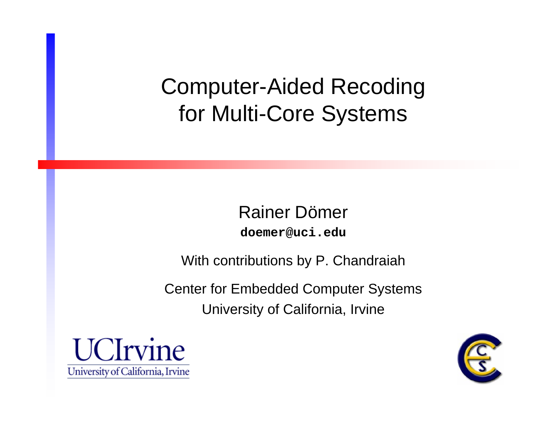#### Computer-Aided Recoding for Multi-Core Systems

Rainer Dömer **doemer@uci.edu**

With contributions by P. Chandraiah

Center for Embedded Computer Systems University of California, Irvine



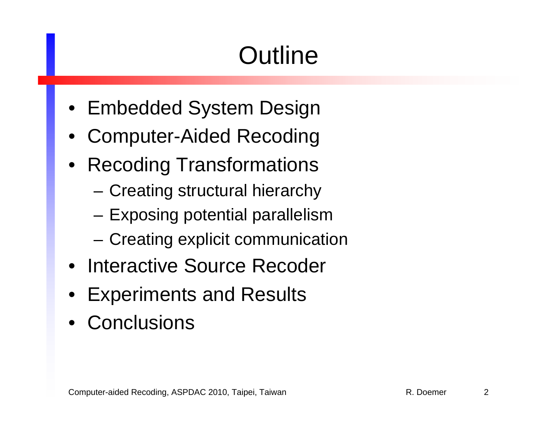# **Outline**

- Embedded System Design
- •Computer-Aided Recoding
- Recoding Transformations
	- Creating structural hierarchy
	- Exposing potential parallelism
	- Creating explicit communication
- Interactive Source Recoder
- •Experiments and Results
- Conclusions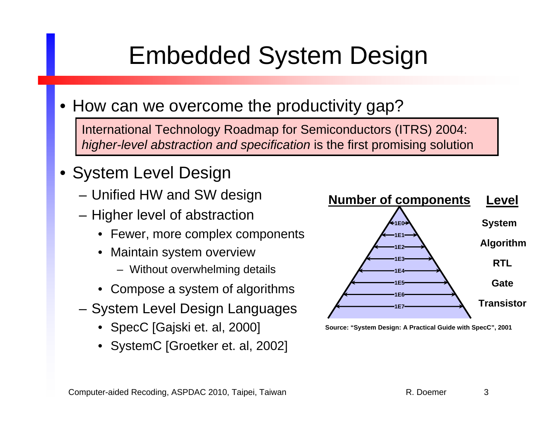# Embedded System Design

• How can we overcome the productivity gap?

International Technology Roadmap for Semiconductors (ITRS) 2004: *higher-level abstraction and specification* is the first promising solution

- System Level Design
	- Unified HW and SW design
	- Higher level of abstraction
		- Fewer, more complex components
		- Maintain system overview
			- Without overwhelming details
		- Compose a system of algorithms
	- System Level Design Languages
		- SpecC [Gajski et. al, 2000]
		- SystemC [Groetker et. al, 2002]



**Source: "System Design: A Practical Guide with SpecC", 2001**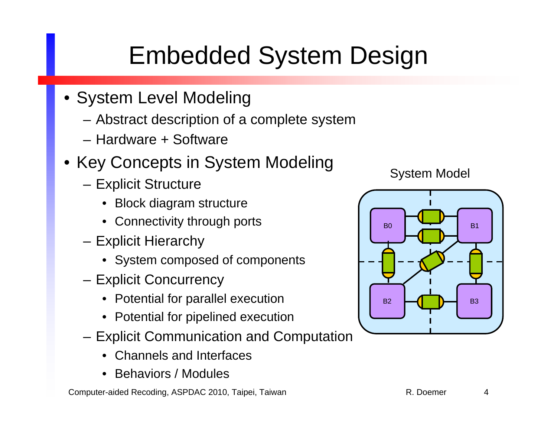# Embedded System Design

- System Level Modeling
	- Abstract description of a complete system
	- Hardware + Software
- Key Concepts in System Modeling
	- Explicit Structure
		- Block diagram structure
		- Connectivity through ports
	- Explicit Hierarchy
		- System composed of components
	- Explicit Concurrency
		- Potential for parallel execution
		- Potential for pipelined execution
	- Explicit Communication and Computation
		- Channels and Interfaces
		- Behaviors / Modules

Computer-aided Recoding, ASPDAC 2010, Taipei, Taiwan R. Doemer R. Doemer 4

System Model

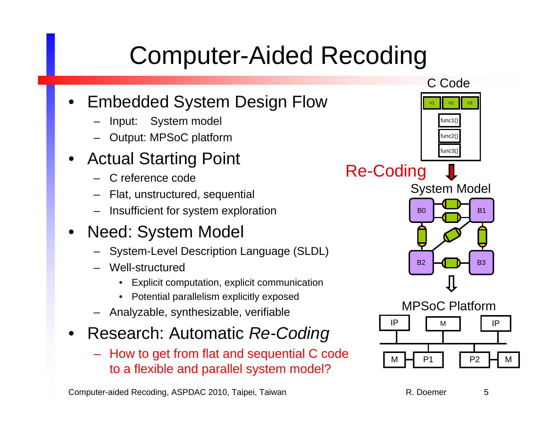### Computer-Aided Recoding

#### •Embedded System Design Flow

- –Input: System model
- –Output: MPSoC platform
- • Actual Starting Point
	- C reference code
	- –Flat, unstructured, sequential
	- –Insufficient for system exploration
- • Need: System Model
	- System-Level Description Language (SLDL)
	- – Well-structured
		- Explicit computation, explicit communication
		- Potential parallelism explicitly exposed
	- Analyzable, synthesizable, verifiable
- • Research: Automatic *Re-Coding*
	- How to get from flat and sequential C code to a flexible and parallel system model?

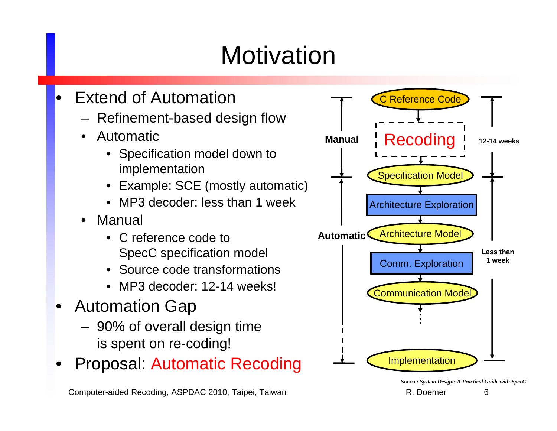# **Motivation**

- • Extend of Automation
	- Refinement-based design flow
	- • Automatic
		- • Specification model down to implementation
		- •Example: SCE (mostly automatic)
		- MP3 decoder: less than 1 week
	- • Manual
		- C reference code toSpecC specification model
		- Source code transformations
		- MP3 decoder: 12-14 weeks!
- • Automation Gap
	- 90% of overall design time is spent on re-coding!
- •Proposal: Automatic Recoding



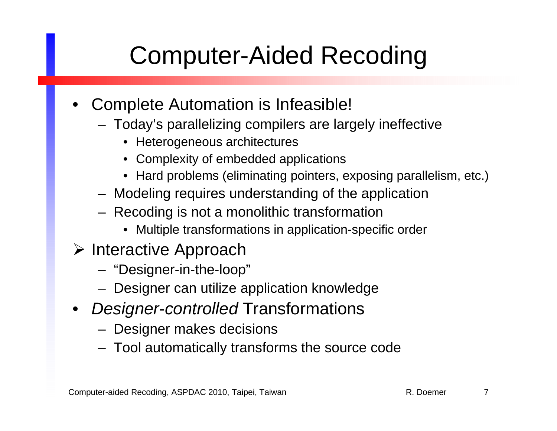# Computer-Aided Recoding

- • Complete Automation is Infeasible!
	- Today's parallelizing compilers are largely ineffective
		- Heterogeneous architectures
		- Complexity of embedded applications
		- Hard problems (eliminating pointers, exposing parallelism, etc.)
	- Modeling requires understanding of the application
	- Recoding is not a monolithic transformation
		- Multiple transformations in application-specific order
- $\triangleright$  Interactive Approach
	- "Designer-in-the-loop"
	- Designer can utilize application knowledge
- $\bullet$  *Designer-controlled* Transformations
	- Designer makes decisions
	- Tool automatically transforms the source code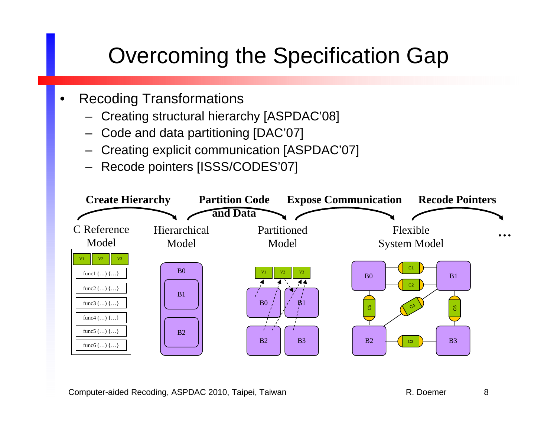#### Overcoming the Specification Gap

- • Recoding Transformations
	- Creating structural hierarchy [ASPDAC'08]
	- –Code and data partitioning [DAC'07]
	- Creating explicit communication [ASPDAC'07]
	- Recode pointers [ISSS/CODES'07]



Computer-aided Recoding, ASPDAC 2010, Taipei, Taiwan R. Doemer 8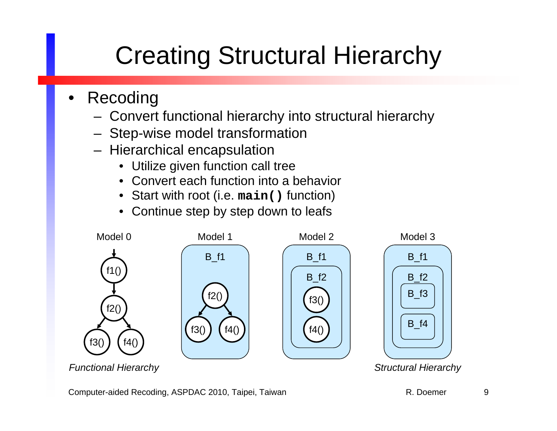# Creating Structural Hierarchy

- • Recoding
	- Convert functional hierarchy into structural hierarchy
	- Step-wise model transformation
	- Hierarchical encapsulation
		- Utilize given function call tree
		- Convert each function into a behavior
		- Start with root (i.e. **main()** function)
		- Continue step by step down to leafs



Computer-aided Recoding, ASPDAC 2010, Taipei, Taiwan R. Doemer R. Doemer 9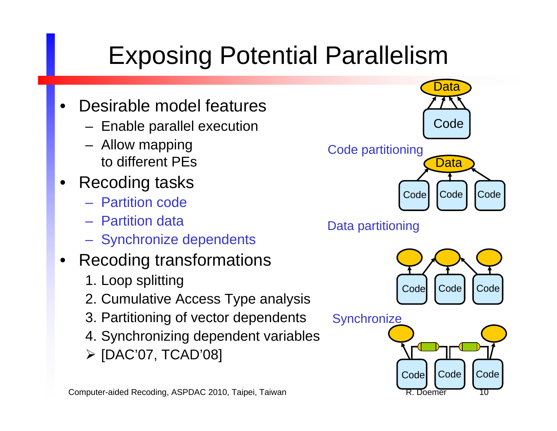# Exposing Potential Parallelism

- • Desirable model features
	- Enable parallel execution
	- Allow mapping to different PEs
- $\bullet$  Recoding tasks
	- Partition code
	- Partition data
	- Synchronize dependents

#### •Recoding transformations

- 1. Loop splitting
- 2. Cumulative Access Type analysis
- 3. Partitioning of vector dependents
- 4. Synchronizing dependent variables
- [DAC'07, TCAD'08]



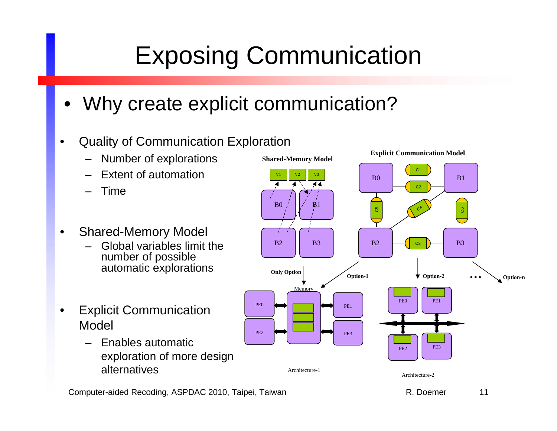# Exposing Communication

- •Why create explicit communication?
- $\bullet$  Quality of Communication Exploration
	- –Number of explorations
	- –Extent of automation
	- –Time
- $\bullet$  Shared-Memory Model
	- – Global variables limit the number of possible automatic explorations
- • Explicit Communication Model
	- – Enables automatic exploration of more design alternatives

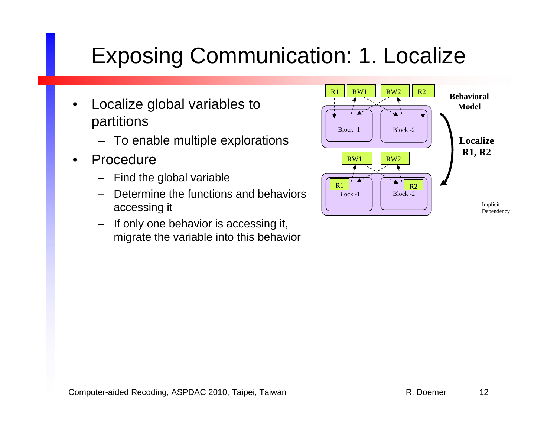#### Exposing Communication: 1. Localize

- • Localize global variables to partitions
	- To enable multiple explorations
- • Procedure
	- –Find the global variable
	- Determine the functions and behaviors accessing it
	- –If only one behavior is accessing it, migrate the variable into this behavior

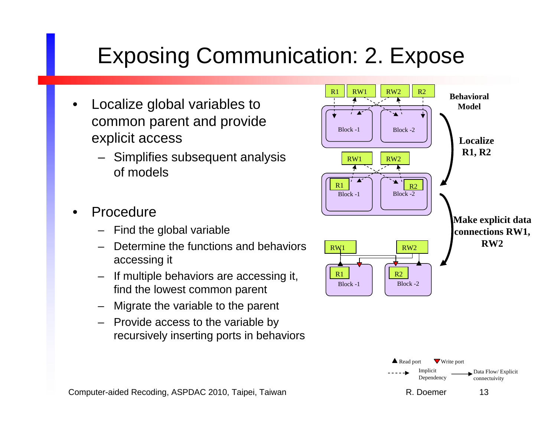#### Exposing Communication: 2. Expose

- • Localize global variables to common parent and provide explicit access
	- Simplifies subsequent analysis of models
- • Procedure
	- Find the global variable
	- Determine the functions and behaviors accessing it
	- If multiple behaviors are accessing it, find the lowest common parent
	- Migrate the variable to the parent
	- Provide access to the variable by recursively inserting ports in behaviors

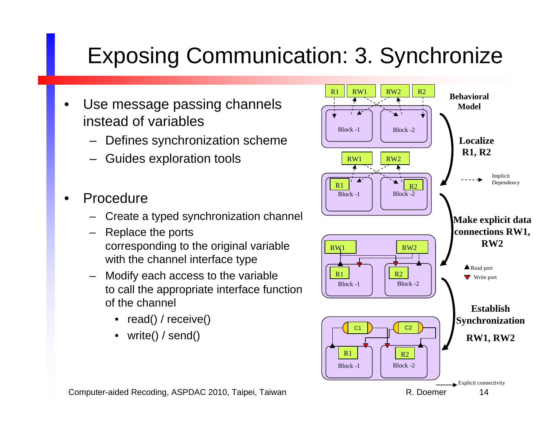#### Exposing Communication: 3. Synchronize

- • Use message passing channels instead of variables
	- Defines synchronization scheme
	- Guides exploration tools
- • Procedure
	- –Create a typed synchronization channel
	- – Replace the ports corresponding to the original variable with the channel interface type
	- – Modify each access to the variable to call the appropriate interface function of the channel
		- read() / receive()
		- write() / send()



Computer-aided Recoding, ASPDAC 2010, Taipei, Taiwan R. Doemer 14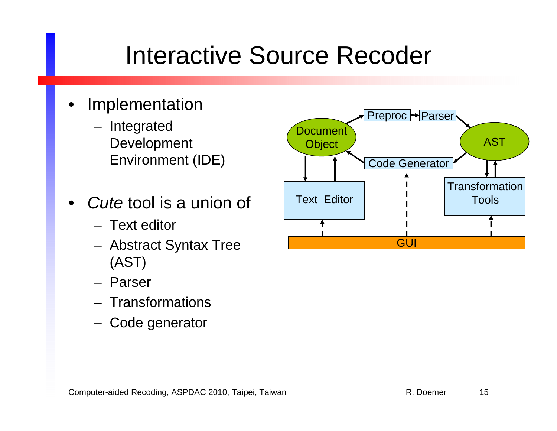- • Implementation
	- Integrated Development Environment (IDE)
- • *Cute* tool is a union of
	- Text editor
	- Abstract Syntax Tree (AST)
	- Parser
	- Transformations
	- Code generator

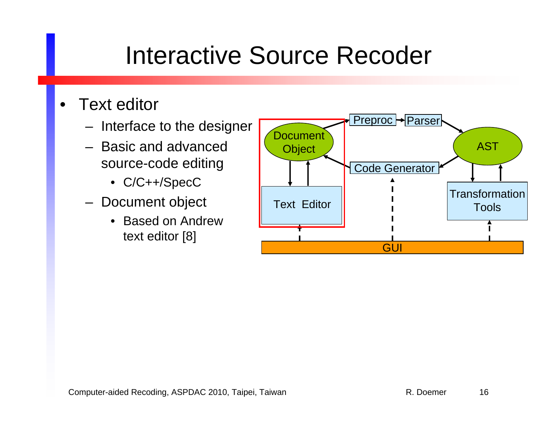- $\bullet$  Text editor
	- Interface to the designer
	- Basic and advanced source-code editing
		- C/C++/SpecC
	- Document object
		- Based on Andrewtext editor [8]

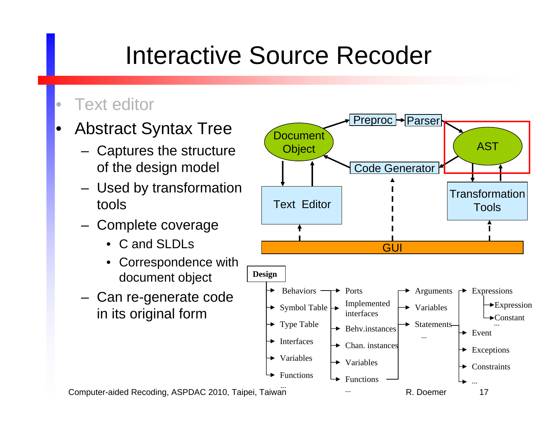#### $\bullet$ Text editor

- • Abstract Syntax Tree
	- Captures the structure of the design model
	- Used by transformation tools
	- Complete coverage
		- C and SLDLs
		- Correspondence with document object
	- Can re-generate code in its original form

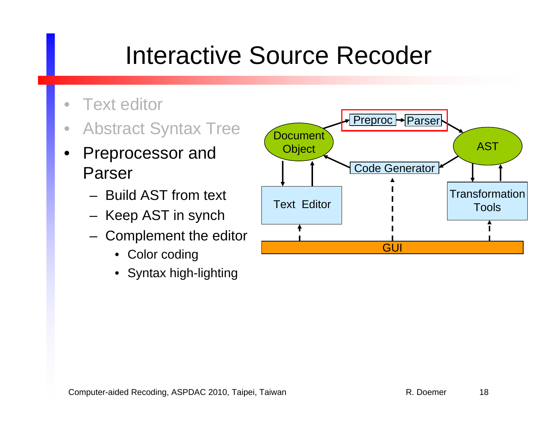- $\bullet$ Text editor
- $\bullet$ Abstract Syntax Tree
- • Preprocessor and Parser
	- Build AST from text
	- Keep AST in synch
	- Complement the editor
		- Color coding
		- Syntax high-lighting

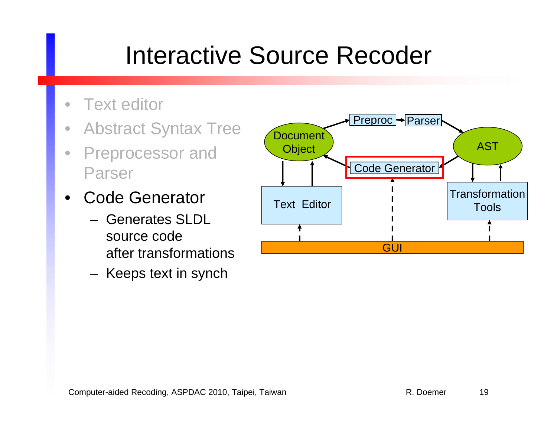- $\bullet$ Text editor
- $\bullet$ Abstract Syntax Tree
- $\bullet$  Preprocessor and Parser
- • Code Generator
	- Generates SLDLsource codeafter transformations
	- Keeps text in synch

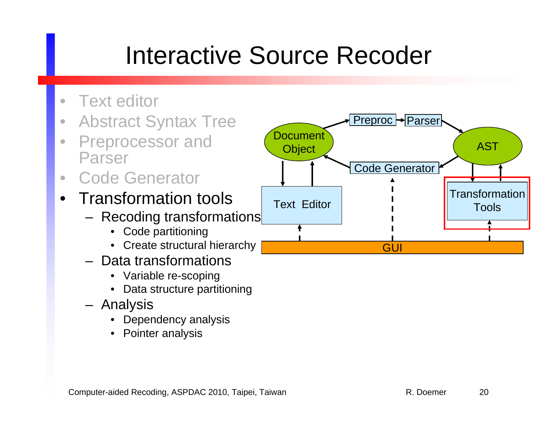- $\bullet$ Text editor
- $\bullet$ Abstract Syntax Tree
- $\bullet$  Preprocessor and Parser
- $\bullet$ Code Generator
- $\bullet$  Transformation tools
	- Recoding transformations
		- Code partitioning
		- Create structural hierarchy
	- Data transformations
		- Variable re-scoping
		- •Data structure partitioning
	- Analysis
		- Dependency analysis
		- Pointer analysis

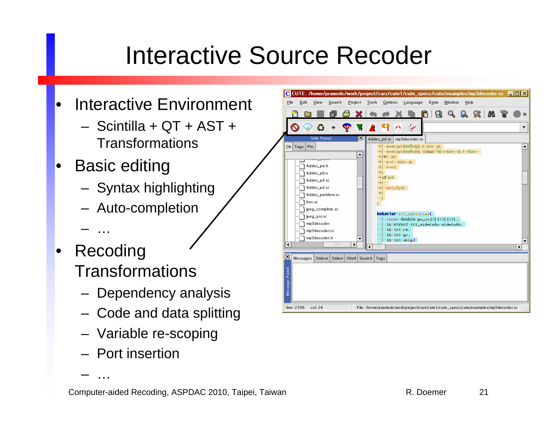- • Interactive Environment
	- Scintilla + QT + AST + Transformations
- • Basic editing
	- Syntax highlighting
	- Auto-completion
	- …
- Recoding **Transformations** 
	- Dependency analysis
	- Code and data splitting
	- Variable re-scoping
	- Port insertion

…

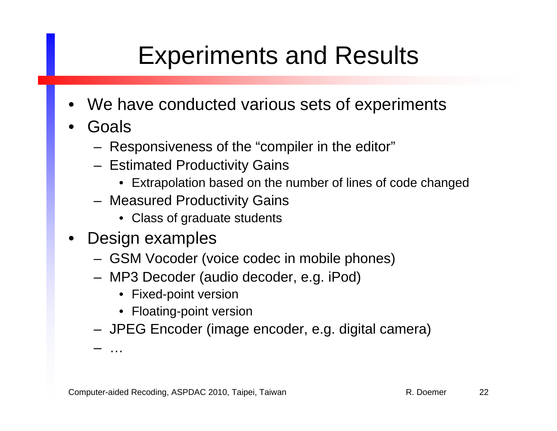### Experiments and Results

- •We have conducted various sets of experiments
- • Goals
	- Responsiveness of the "compiler in the editor"
	- Estimated Productivity Gains
		- Extrapolation based on the number of lines of code changed
	- Measured Productivity Gains
		- Class of graduate students
- • Design examples
	- GSM Vocoder (voice codec in mobile phones)
	- MP3 Decoder (audio decoder, e.g. iPod)
		- Fixed-point version
		- Floating-point version
	- JPEG Encoder (image encoder, e.g. digital camera)

…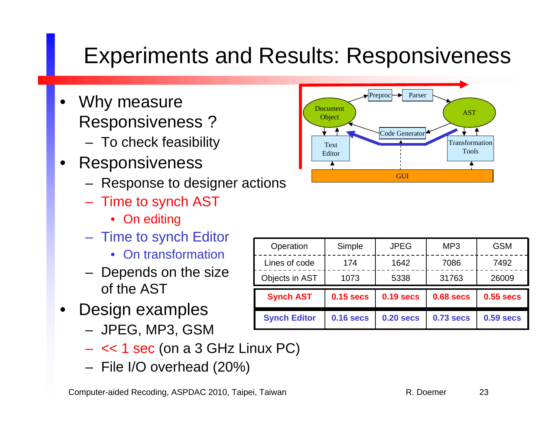#### Experiments and Results: Responsiveness

- • Why measure Responsiveness ?
	- To check feasibility
- • Responsiveness
	- Response to designer actions
	- Time to synch AST
		- On editing
	- Time to synch Editor
		- On transformation
	- Depends on the size of the AST
- • Design examples
	- JPEG, MP3, GSM
	- << 1 sec (on a 3 GHz Linux PC)
	- File I/O overhead (20%)



| Operation           | Simple           | <b>JPEG</b>      | MP <sub>3</sub>  | <b>GSM</b>       |
|---------------------|------------------|------------------|------------------|------------------|
| Lines of code       | 174              | 1642             | 7086             | 7492             |
| Objects in AST      | 1073             | 5338             | 31763            | 26009            |
| <b>Synch AST</b>    | <b>0.15 secs</b> | <b>0.19 secs</b> | <b>0.68 secs</b> | <b>0.55 secs</b> |
| <b>Synch Editor</b> | <b>0.16 secs</b> | $0.20$ secs      | <b>0.73 secs</b> | <b>0.59 secs</b> |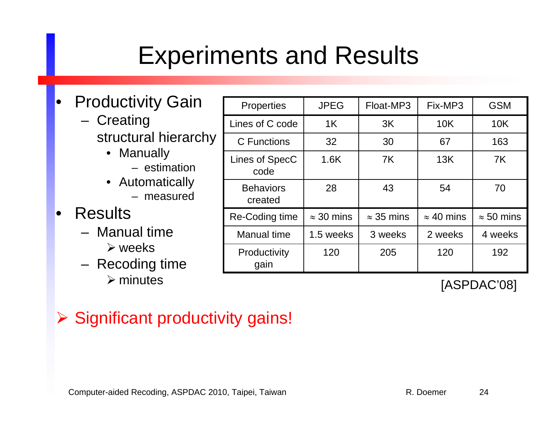### Experiments and Results

- • Productivity Gain
	- Creating structural hierarchy
		- Manually
			- estimation
		- Automatically
			- measured

#### $\bullet$ **Results**

- Manual time
	- $\triangleright$  weeks
- Recoding time  $\triangleright$  minutes

| Properties                  | <b>JPEG</b>       | Float-MP3         | Fix-MP3           | <b>GSM</b>        |
|-----------------------------|-------------------|-------------------|-------------------|-------------------|
| Lines of C code             | 1K                | 3K                | 10K               | 10K               |
| C Functions                 | 32                | 30                | 67                | 163               |
| Lines of SpecC<br>code      | 1.6K              | 7K                | 13K               | 7K                |
| <b>Behaviors</b><br>created | 28                | 43                | 54                | 70                |
| Re-Coding time              | $\approx$ 30 mins | $\approx$ 35 mins | $\approx$ 40 mins | $\approx$ 50 mins |
| <b>Manual time</b>          | 1.5 weeks         | 3 weeks           | 2 weeks           | 4 weeks           |
| Productivity<br>gain        | 120               | 205               | 120               | 192               |

[ASPDAC'08]

#### Significant productivity gains!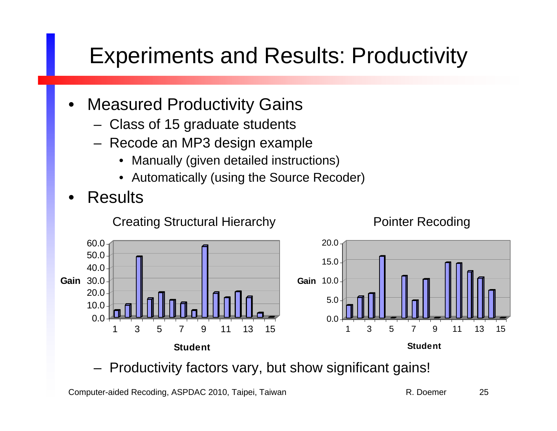#### Experiments and Results: Productivity

- • Measured Productivity Gains
	- Class of 15 graduate students
	- Recode an MP3 design example
		- Manually (given detailed instructions)
		- Automatically (using the Source Recoder)
- •Results

Creating Structural Hierarchy **Pointer Recoding** 





Productivity factors vary, but show significant gains!

Computer-aided Recoding, ASPDAC 2010, Taipei, Taiwan R. Doemer 25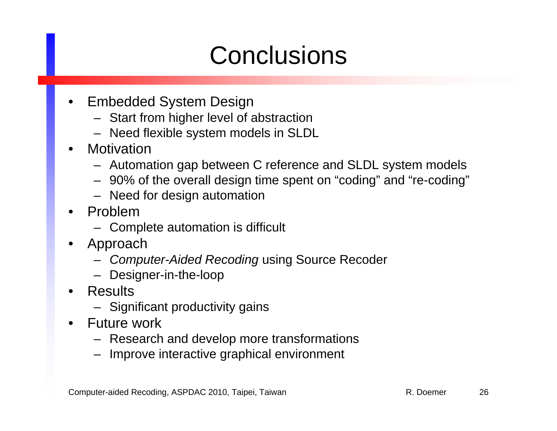## **Conclusions**

- • Embedded System Design
	- Start from higher level of abstraction
	- Need flexible system models in SLDL
- •**Motivation** 
	- Automation gap between C reference and SLDL system models
	- 90% of the overall design time spent on "coding" and "re-coding"
	- Need for design automation
- • Problem
	- Complete automation is difficult
- • Approach
	- *Computer-Aided Recoding* using Source Recoder
	- Designer-in-the-loop
- • Results
	- Significant productivity gains
- • Future work
	- Research and develop more transformations
	- Improve interactive graphical environment